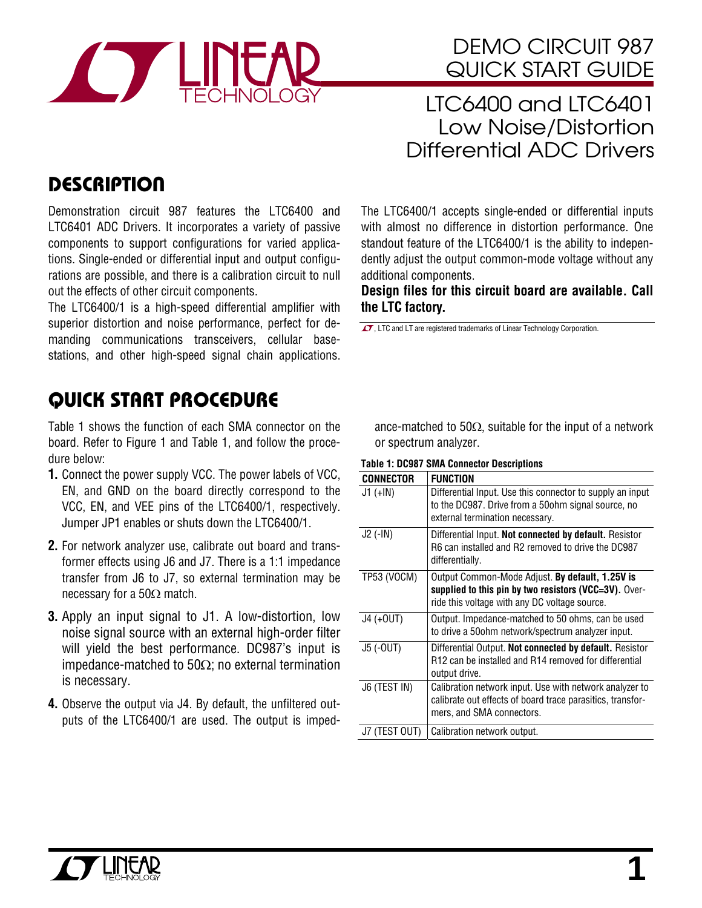

# DEMO CIRCUIT 987 QUICK START GUIDE

LTC6400 and LTC6401 Low Noise/Distortion Differential ADC Drivers

# **DESCRIPTION**

Demonstration circuit 987 features the LTC6400 and LTC6401 ADC Drivers. It incorporates a variety of passive components to support configurations for varied applications. Single-ended or differential input and output configurations are possible, and there is a calibration circuit to null out the effects of other circuit components.

The LTC6400/1 is a high-speed differential amplifier with superior distortion and noise performance, perfect for demanding communications transceivers, cellular basestations, and other high-speed signal chain applications.

# QUICK START PROCEDURE

Table 1 shows the function of each SMA connector on the board. Refer to Figure 1 and Table 1, and follow the procedure below:

- **1.** Connect the power supply VCC. The power labels of VCC, EN, and GND on the board directly correspond to the VCC, EN, and VEE pins of the LTC6400/1, respectively. Jumper JP1 enables or shuts down the LTC6400/1.
- **2.** For network analyzer use, calibrate out board and transformer effects using J6 and J7. There is a 1:1 impedance transfer from J6 to J7, so external termination may be necessary for a 50Ω match.
- **3.** Apply an input signal to J1. A low-distortion, low noise signal source with an external high-order filter will yield the best performance. DC987's input is impedance-matched to 50Ω; no external termination is necessary.
- **4.** Observe the output via J4. By default, the unfiltered outputs of the LTC6400/1 are used. The output is imped-

The LTC6400/1 accepts single-ended or differential inputs with almost no difference in distortion performance. One standout feature of the LTC6400/1 is the ability to independently adjust the output common-mode voltage without any additional components.

**Design files for this circuit board are available. Call the LTC factory.** 

 $\sqrt{J}$ , LTC and LT are registered trademarks of Linear Technology Corporation.

ance-matched to 50 $\Omega$ , suitable for the input of a network or spectrum analyzer.

#### **Table 1: DC987 SMA Connector Descriptions**

| <b>CONNECTOR</b> | <b>FUNCTION</b>                                                                                                                                           |
|------------------|-----------------------------------------------------------------------------------------------------------------------------------------------------------|
| $J1 (+IN)$       | Differential Input. Use this connector to supply an input<br>to the DC987. Drive from a 50ohm signal source, no<br>external termination necessary.        |
| $J2$ (-IN)       | Differential Input. Not connected by default. Resistor<br>R6 can installed and R2 removed to drive the DC987<br>differentially.                           |
| TP53 (VOCM)      | Output Common-Mode Adjust. By default, 1.25V is<br>supplied to this pin by two resistors (VCC=3V). Over-<br>ride this voltage with any DC voltage source. |
| J4 (+0UT)        | Output. Impedance-matched to 50 ohms, can be used<br>to drive a 50 ohm network/spectrum analyzer input.                                                   |
| J5 (-OUT)        | Differential Output. Not connected by default. Resistor<br>R12 can be installed and R14 removed for differential<br>output drive.                         |
| J6 (TEST IN)     | Calibration network input. Use with network analyzer to<br>calibrate out effects of board trace parasitics, transfor-<br>mers, and SMA connectors.        |
| J7 (TEST OUT)    | Calibration network output.                                                                                                                               |

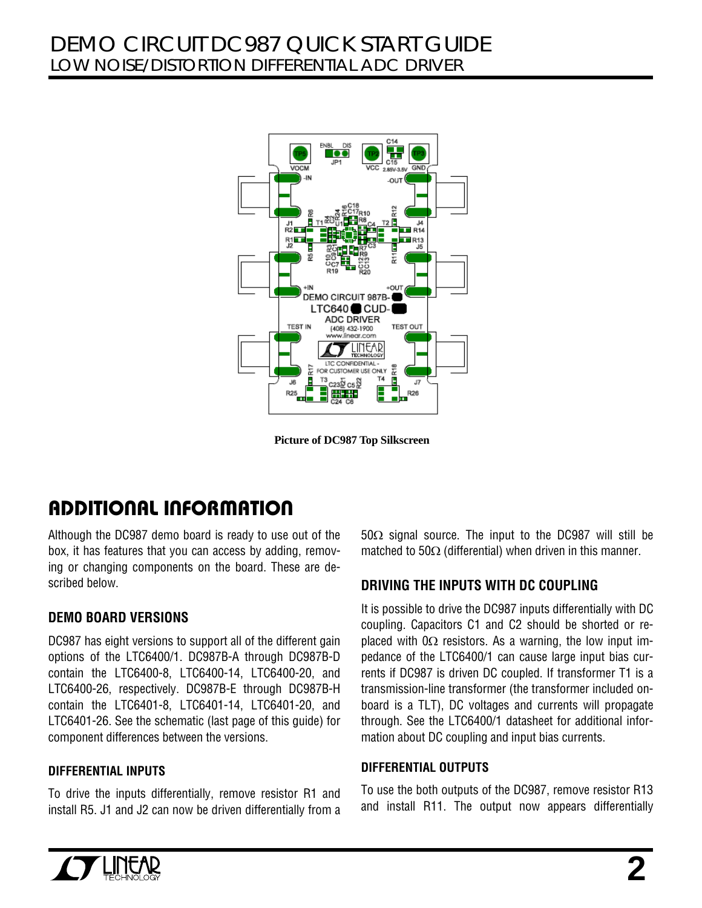

**Picture of DC987 Top Silkscreen** 

# ADDITIONAL INFORMATION

Although the DC987 demo board is ready to use out of the box, it has features that you can access by adding, removing or changing components on the board. These are described below.

## **DEMO BOARD VERSIONS**

DC987 has eight versions to support all of the different gain options of the LTC6400/1. DC987B-A through DC987B-D contain the LTC6400-8, LTC6400-14, LTC6400-20, and LTC6400-26, respectively. DC987B-E through DC987B-H contain the LTC6401-8, LTC6401-14, LTC6401-20, and LTC6401-26. See the schematic (last page of this guide) for component differences between the versions.

#### **DIFFERENTIAL INPUTS**

To drive the inputs differentially, remove resistor R1 and install R5. J1 and J2 can now be driven differentially from a 50Ω signal source. The input to the DC987 will still be matched to 50 $\Omega$  (differential) when driven in this manner.

## **DRIVING THE INPUTS WITH DC COUPLING**

It is possible to drive the DC987 inputs differentially with DC coupling. Capacitors C1 and C2 should be shorted or replaced with  $0\Omega$  resistors. As a warning, the low input impedance of the LTC6400/1 can cause large input bias currents if DC987 is driven DC coupled. If transformer T1 is a transmission-line transformer (the transformer included onboard is a TLT), DC voltages and currents will propagate through. See the LTC6400/1 datasheet for additional information about DC coupling and input bias currents.

#### **DIFFERENTIAL OUTPUTS**

To use the both outputs of the DC987, remove resistor R13 and install R11. The output now appears differentially

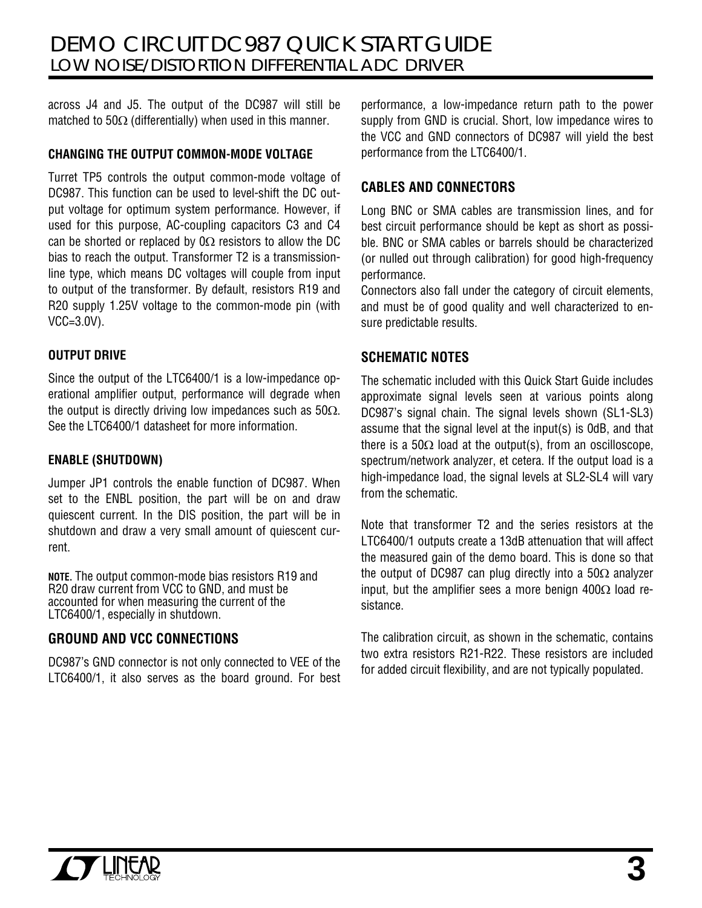across J4 and J5. The output of the DC987 will still be matched to  $50\Omega$  (differentially) when used in this manner.

#### **CHANGING THE OUTPUT COMMON-MODE VOLTAGE**

Turret TP5 controls the output common-mode voltage of DC987. This function can be used to level-shift the DC output voltage for optimum system performance. However, if used for this purpose, AC-coupling capacitors C3 and C4 can be shorted or replaced by  $0\Omega$  resistors to allow the DC bias to reach the output. Transformer T2 is a transmissionline type, which means DC voltages will couple from input to output of the transformer. By default, resistors R19 and R20 supply 1.25V voltage to the common-mode pin (with VCC=3.0V).

#### **OUTPUT DRIVE**

Since the output of the LTC6400/1 is a low-impedance operational amplifier output, performance will degrade when the output is directly driving low impedances such as 50Ω. See the LTC6400/1 datasheet for more information.

## **ENABLE (SHUTDOWN)**

Jumper JP1 controls the enable function of DC987. When set to the ENBL position, the part will be on and draw quiescent current. In the DIS position, the part will be in shutdown and draw a very small amount of quiescent current.

**NOTE.** The output common-mode bias resistors R19 and R20 draw current from VCC to GND, and must be accounted for when measuring the current of the LTC6400/1, especially in shutdown.

## **GROUND AND VCC CONNECTIONS**

DC987's GND connector is not only connected to VEE of the LTC6400/1, it also serves as the board ground. For best performance, a low-impedance return path to the power supply from GND is crucial. Short, low impedance wires to the VCC and GND connectors of DC987 will yield the best performance from the LTC6400/1.

## **CABLES AND CONNECTORS**

Long BNC or SMA cables are transmission lines, and for best circuit performance should be kept as short as possible. BNC or SMA cables or barrels should be characterized (or nulled out through calibration) for good high-frequency performance.

Connectors also fall under the category of circuit elements, and must be of good quality and well characterized to ensure predictable results.

## **SCHEMATIC NOTES**

The schematic included with this Quick Start Guide includes approximate signal levels seen at various points along DC987's signal chain. The signal levels shown (SL1-SL3) assume that the signal level at the input(s) is 0dB, and that there is a 50 $\Omega$  load at the output(s), from an oscilloscope, spectrum/network analyzer, et cetera. If the output load is a high-impedance load, the signal levels at SL2-SL4 will vary from the schematic.

Note that transformer T2 and the series resistors at the LTC6400/1 outputs create a 13dB attenuation that will affect the measured gain of the demo board. This is done so that the output of DC987 can plug directly into a 50 $\Omega$  analyzer input, but the amplifier sees a more benign 400Ω load resistance.

The calibration circuit, as shown in the schematic, contains two extra resistors R21-R22. These resistors are included for added circuit flexibility, and are not typically populated.